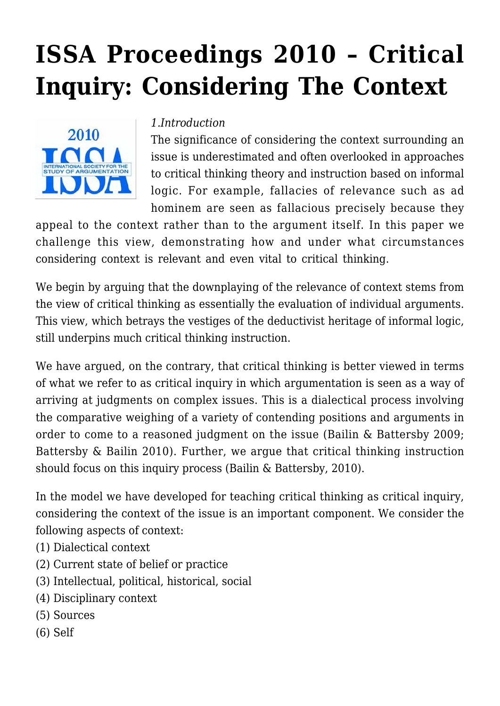# **[ISSA Proceedings 2010 – Critical](https://rozenbergquarterly.com/issa-proceedings-2010-critical-inquiry-considering-the-context/) [Inquiry: Considering The Context](https://rozenbergquarterly.com/issa-proceedings-2010-critical-inquiry-considering-the-context/)**



#### *1.Introduction*

The significance of considering the context surrounding an issue is underestimated and often overlooked in approaches to critical thinking theory and instruction based on informal logic. For example, fallacies of relevance such as ad hominem are seen as fallacious precisely because they

appeal to the context rather than to the argument itself. In this paper we challenge this view, demonstrating how and under what circumstances considering context is relevant and even vital to critical thinking.

We begin by arguing that the downplaying of the relevance of context stems from the view of critical thinking as essentially the evaluation of individual arguments. This view, which betrays the vestiges of the deductivist heritage of informal logic, still underpins much critical thinking instruction.

We have argued, on the contrary, that critical thinking is better viewed in terms of what we refer to as critical inquiry in which argumentation is seen as a way of arriving at judgments on complex issues. This is a dialectical process involving the comparative weighing of a variety of contending positions and arguments in order to come to a reasoned judgment on the issue (Bailin & Battersby 2009; Battersby & Bailin 2010). Further, we argue that critical thinking instruction should focus on this inquiry process (Bailin & Battersby, 2010).

In the model we have developed for teaching critical thinking as critical inquiry, considering the context of the issue is an important component. We consider the following aspects of context:

- (1) Dialectical context
- (2) Current state of belief or practice
- (3) Intellectual, political, historical, social
- (4) Disciplinary context
- (5) Sources
- (6) Self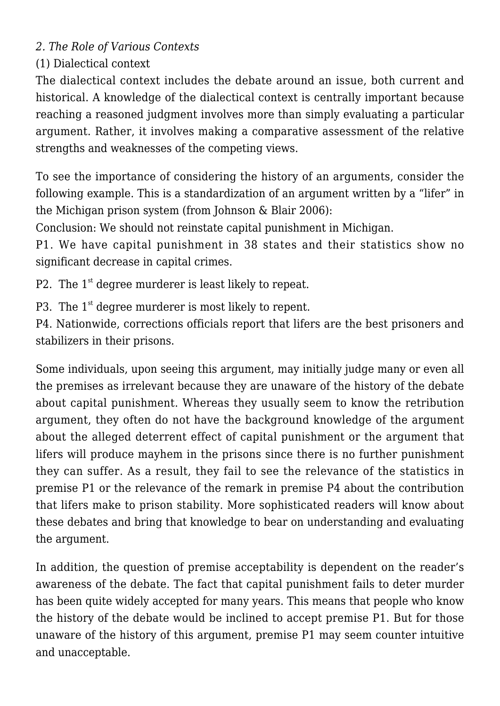*2. The Role of Various Contexts*

(1) Dialectical context

The dialectical context includes the debate around an issue, both current and historical. A knowledge of the dialectical context is centrally important because reaching a reasoned judgment involves more than simply evaluating a particular argument. Rather, it involves making a comparative assessment of the relative strengths and weaknesses of the competing views.

To see the importance of considering the history of an arguments, consider the following example. This is a standardization of an argument written by a "lifer" in the Michigan prison system (from Johnson & Blair 2006):

Conclusion: We should not reinstate capital punishment in Michigan.

P1. We have capital punishment in 38 states and their statistics show no significant decrease in capital crimes.

P2. The  $1<sup>st</sup>$  degree murderer is least likely to repeat.

P3. The 1<sup>st</sup> degree murderer is most likely to repent.

P4. Nationwide, corrections officials report that lifers are the best prisoners and stabilizers in their prisons.

Some individuals, upon seeing this argument, may initially judge many or even all the premises as irrelevant because they are unaware of the history of the debate about capital punishment. Whereas they usually seem to know the retribution argument, they often do not have the background knowledge of the argument about the alleged deterrent effect of capital punishment or the argument that lifers will produce mayhem in the prisons since there is no further punishment they can suffer. As a result, they fail to see the relevance of the statistics in premise P1 or the relevance of the remark in premise P4 about the contribution that lifers make to prison stability. More sophisticated readers will know about these debates and bring that knowledge to bear on understanding and evaluating the argument.

In addition, the question of premise acceptability is dependent on the reader's awareness of the debate. The fact that capital punishment fails to deter murder has been quite widely accepted for many years. This means that people who know the history of the debate would be inclined to accept premise P1. But for those unaware of the history of this argument, premise P1 may seem counter intuitive and unacceptable.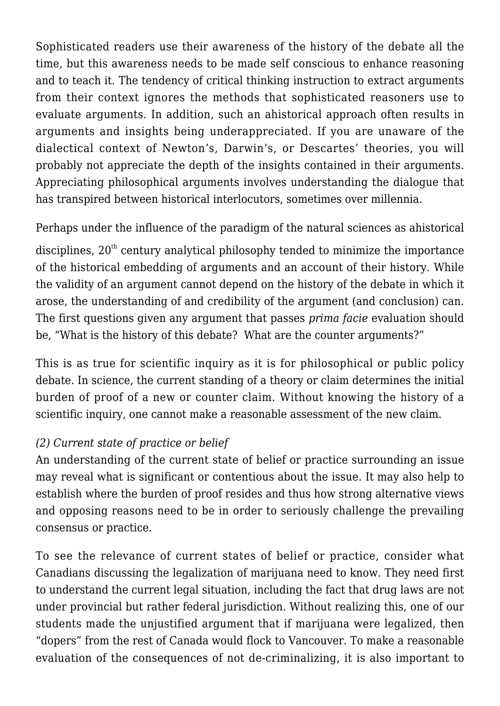Sophisticated readers use their awareness of the history of the debate all the time, but this awareness needs to be made self conscious to enhance reasoning and to teach it. The tendency of critical thinking instruction to extract arguments from their context ignores the methods that sophisticated reasoners use to evaluate arguments. In addition, such an ahistorical approach often results in arguments and insights being underappreciated. If you are unaware of the dialectical context of Newton's, Darwin's, or Descartes' theories, you will probably not appreciate the depth of the insights contained in their arguments. Appreciating philosophical arguments involves understanding the dialogue that has transpired between historical interlocutors, sometimes over millennia.

Perhaps under the influence of the paradigm of the natural sciences as ahistorical disciplines,  $20<sup>th</sup>$  century analytical philosophy tended to minimize the importance of the historical embedding of arguments and an account of their history. While the validity of an argument cannot depend on the history of the debate in which it arose, the understanding of and credibility of the argument (and conclusion) can. The first questions given any argument that passes *prima facie* evaluation should be, "What is the history of this debate? What are the counter arguments?"

This is as true for scientific inquiry as it is for philosophical or public policy debate. In science, the current standing of a theory or claim determines the initial burden of proof of a new or counter claim. Without knowing the history of a scientific inquiry, one cannot make a reasonable assessment of the new claim.

# *(2) Current state of practice or belief*

An understanding of the current state of belief or practice surrounding an issue may reveal what is significant or contentious about the issue. It may also help to establish where the burden of proof resides and thus how strong alternative views and opposing reasons need to be in order to seriously challenge the prevailing consensus or practice.

To see the relevance of current states of belief or practice, consider what Canadians discussing the legalization of marijuana need to know. They need first to understand the current legal situation, including the fact that drug laws are not under provincial but rather federal jurisdiction. Without realizing this, one of our students made the unjustified argument that if marijuana were legalized, then "dopers" from the rest of Canada would flock to Vancouver. To make a reasonable evaluation of the consequences of not de-criminalizing, it is also important to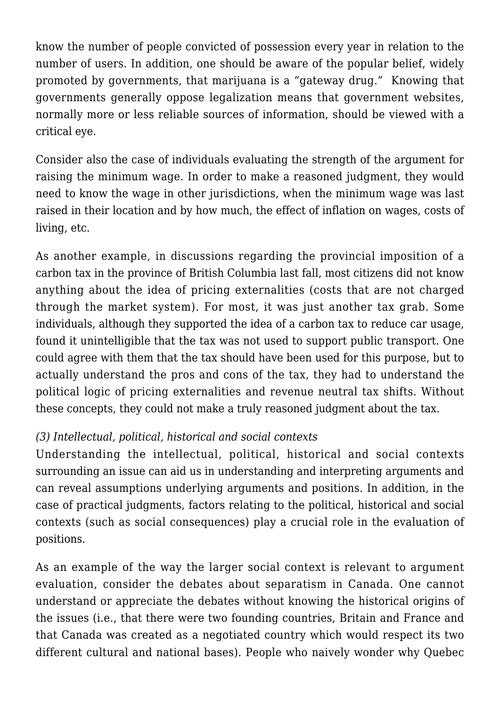know the number of people convicted of possession every year in relation to the number of users. In addition, one should be aware of the popular belief, widely promoted by governments, that marijuana is a "gateway drug." Knowing that governments generally oppose legalization means that government websites, normally more or less reliable sources of information, should be viewed with a critical eye.

Consider also the case of individuals evaluating the strength of the argument for raising the minimum wage. In order to make a reasoned judgment, they would need to know the wage in other jurisdictions, when the minimum wage was last raised in their location and by how much, the effect of inflation on wages, costs of living, etc.

As another example, in discussions regarding the provincial imposition of a carbon tax in the province of British Columbia last fall, most citizens did not know anything about the idea of pricing externalities (costs that are not charged through the market system). For most, it was just another tax grab. Some individuals, although they supported the idea of a carbon tax to reduce car usage, found it unintelligible that the tax was not used to support public transport. One could agree with them that the tax should have been used for this purpose, but to actually understand the pros and cons of the tax, they had to understand the political logic of pricing externalities and revenue neutral tax shifts. Without these concepts, they could not make a truly reasoned judgment about the tax.

# *(3) Intellectual, political, historical and social contexts*

Understanding the intellectual, political, historical and social contexts surrounding an issue can aid us in understanding and interpreting arguments and can reveal assumptions underlying arguments and positions. In addition, in the case of practical judgments, factors relating to the political, historical and social contexts (such as social consequences) play a crucial role in the evaluation of positions.

As an example of the way the larger social context is relevant to argument evaluation, consider the debates about separatism in Canada. One cannot understand or appreciate the debates without knowing the historical origins of the issues (i.e., that there were two founding countries, Britain and France and that Canada was created as a negotiated country which would respect its two different cultural and national bases). People who naively wonder why Quebec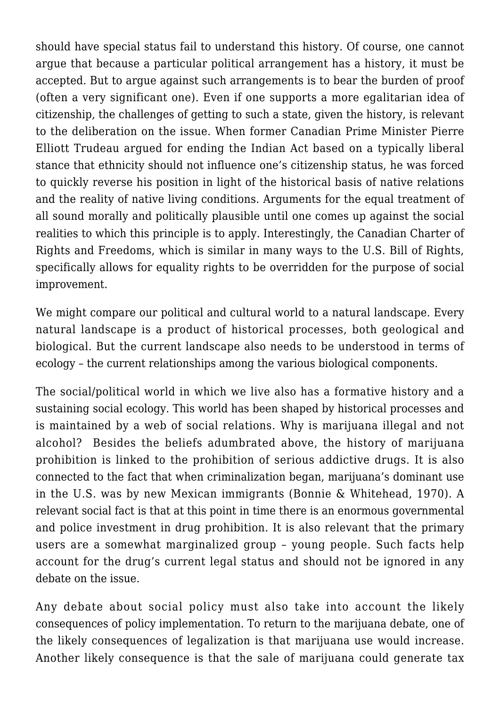should have special status fail to understand this history. Of course, one cannot argue that because a particular political arrangement has a history, it must be accepted. But to argue against such arrangements is to bear the burden of proof (often a very significant one). Even if one supports a more egalitarian idea of citizenship, the challenges of getting to such a state, given the history, is relevant to the deliberation on the issue. When former Canadian Prime Minister Pierre Elliott Trudeau argued for ending the Indian Act based on a typically liberal stance that ethnicity should not influence one's citizenship status, he was forced to quickly reverse his position in light of the historical basis of native relations and the reality of native living conditions. Arguments for the equal treatment of all sound morally and politically plausible until one comes up against the social realities to which this principle is to apply. Interestingly, the Canadian Charter of Rights and Freedoms, which is similar in many ways to the U.S. Bill of Rights, specifically allows for equality rights to be overridden for the purpose of social improvement.

We might compare our political and cultural world to a natural landscape. Every natural landscape is a product of historical processes, both geological and biological. But the current landscape also needs to be understood in terms of ecology – the current relationships among the various biological components.

The social/political world in which we live also has a formative history and a sustaining social ecology. This world has been shaped by historical processes and is maintained by a web of social relations. Why is marijuana illegal and not alcohol? Besides the beliefs adumbrated above, the history of marijuana prohibition is linked to the prohibition of serious addictive drugs. It is also connected to the fact that when criminalization began, marijuana's dominant use in the U.S. was by new Mexican immigrants (Bonnie & Whitehead, 1970). A relevant social fact is that at this point in time there is an enormous governmental and police investment in drug prohibition. It is also relevant that the primary users are a somewhat marginalized group – young people. Such facts help account for the drug's current legal status and should not be ignored in any debate on the issue.

Any debate about social policy must also take into account the likely consequences of policy implementation. To return to the marijuana debate, one of the likely consequences of legalization is that marijuana use would increase. Another likely consequence is that the sale of marijuana could generate tax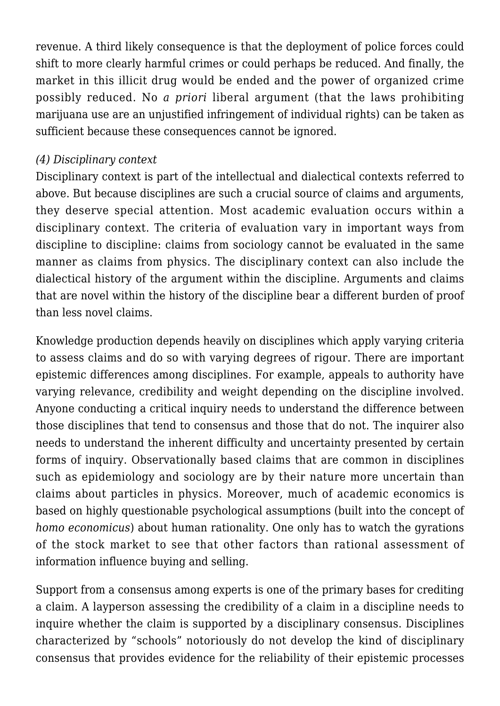revenue. A third likely consequence is that the deployment of police forces could shift to more clearly harmful crimes or could perhaps be reduced. And finally, the market in this illicit drug would be ended and the power of organized crime possibly reduced. No *a priori* liberal argument (that the laws prohibiting marijuana use are an unjustified infringement of individual rights) can be taken as sufficient because these consequences cannot be ignored.

## *(4) Disciplinary context*

Disciplinary context is part of the intellectual and dialectical contexts referred to above. But because disciplines are such a crucial source of claims and arguments, they deserve special attention. Most academic evaluation occurs within a disciplinary context. The criteria of evaluation vary in important ways from discipline to discipline: claims from sociology cannot be evaluated in the same manner as claims from physics. The disciplinary context can also include the dialectical history of the argument within the discipline. Arguments and claims that are novel within the history of the discipline bear a different burden of proof than less novel claims.

Knowledge production depends heavily on disciplines which apply varying criteria to assess claims and do so with varying degrees of rigour. There are important epistemic differences among disciplines. For example, appeals to authority have varying relevance, credibility and weight depending on the discipline involved. Anyone conducting a critical inquiry needs to understand the difference between those disciplines that tend to consensus and those that do not. The inquirer also needs to understand the inherent difficulty and uncertainty presented by certain forms of inquiry. Observationally based claims that are common in disciplines such as epidemiology and sociology are by their nature more uncertain than claims about particles in physics. Moreover, much of academic economics is based on highly questionable psychological assumptions (built into the concept of *homo economicus*) about human rationality. One only has to watch the gyrations of the stock market to see that other factors than rational assessment of information influence buying and selling.

Support from a consensus among experts is one of the primary bases for crediting a claim. A layperson assessing the credibility of a claim in a discipline needs to inquire whether the claim is supported by a disciplinary consensus. Disciplines characterized by "schools" notoriously do not develop the kind of disciplinary consensus that provides evidence for the reliability of their epistemic processes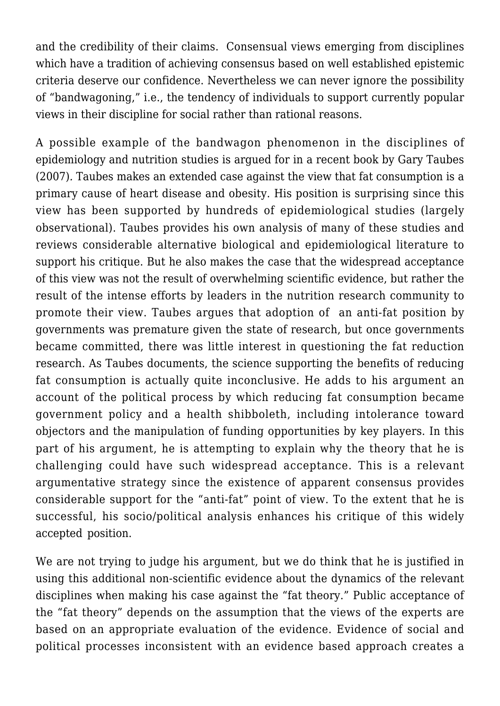and the credibility of their claims. Consensual views emerging from disciplines which have a tradition of achieving consensus based on well established epistemic criteria deserve our confidence. Nevertheless we can never ignore the possibility of "bandwagoning," i.e., the tendency of individuals to support currently popular views in their discipline for social rather than rational reasons.

A possible example of the bandwagon phenomenon in the disciplines of epidemiology and nutrition studies is argued for in a recent book by Gary Taubes (2007)*.* Taubes makes an extended case against the view that fat consumption is a primary cause of heart disease and obesity. His position is surprising since this view has been supported by hundreds of epidemiological studies (largely observational). Taubes provides his own analysis of many of these studies and reviews considerable alternative biological and epidemiological literature to support his critique. But he also makes the case that the widespread acceptance of this view was not the result of overwhelming scientific evidence, but rather the result of the intense efforts by leaders in the nutrition research community to promote their view. Taubes argues that adoption of an anti-fat position by governments was premature given the state of research, but once governments became committed, there was little interest in questioning the fat reduction research. As Taubes documents, the science supporting the benefits of reducing fat consumption is actually quite inconclusive. He adds to his argument an account of the political process by which reducing fat consumption became government policy and a health shibboleth, including intolerance toward objectors and the manipulation of funding opportunities by key players. In this part of his argument, he is attempting to explain why the theory that he is challenging could have such widespread acceptance. This is a relevant argumentative strategy since the existence of apparent consensus provides considerable support for the "anti-fat" point of view. To the extent that he is successful, his socio/political analysis enhances his critique of this widely accepted position.

We are not trying to judge his argument, but we do think that he is justified in using this additional non-scientific evidence about the dynamics of the relevant disciplines when making his case against the "fat theory." Public acceptance of the "fat theory" depends on the assumption that the views of the experts are based on an appropriate evaluation of the evidence. Evidence of social and political processes inconsistent with an evidence based approach creates a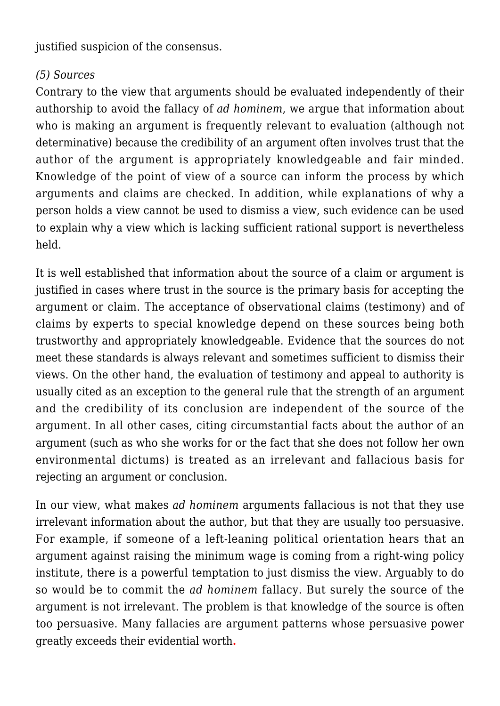justified suspicion of the consensus.

## *(5) Sources*

Contrary to the view that arguments should be evaluated independently of their authorship to avoid the fallacy of *ad hominem*, we argue that information about who is making an argument is frequently relevant to evaluation (although not determinative) because the credibility of an argument often involves trust that the author of the argument is appropriately knowledgeable and fair minded. Knowledge of the point of view of a source can inform the process by which arguments and claims are checked. In addition, while explanations of why a person holds a view cannot be used to dismiss a view, such evidence can be used to explain why a view which is lacking sufficient rational support is nevertheless held.

It is well established that information about the source of a claim or argument is justified in cases where trust in the source is the primary basis for accepting the argument or claim. The acceptance of observational claims (testimony) and of claims by experts to special knowledge depend on these sources being both trustworthy and appropriately knowledgeable. Evidence that the sources do not meet these standards is always relevant and sometimes sufficient to dismiss their views. On the other hand, the evaluation of testimony and appeal to authority is usually cited as an exception to the general rule that the strength of an argument and the credibility of its conclusion are independent of the source of the argument. In all other cases, citing circumstantial facts about the author of an argument (such as who she works for or the fact that she does not follow her own environmental dictums) is treated as an irrelevant and fallacious basis for rejecting an argument or conclusion.

In our view, what makes *ad hominem* arguments fallacious is not that they use irrelevant information about the author, but that they are usually too persuasive. For example, if someone of a left-leaning political orientation hears that an argument against raising the minimum wage is coming from a right-wing policy institute, there is a powerful temptation to just dismiss the view. Arguably to do so would be to commit the *ad hominem* fallacy. But surely the source of the argument is not irrelevant. The problem is that knowledge of the source is often too persuasive. Many fallacies are argument patterns whose persuasive power greatly exceeds their evidential worth**.**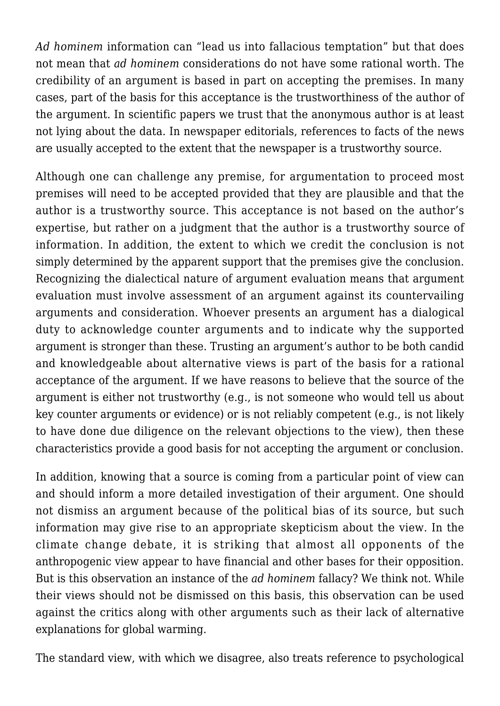*Ad hominem* information can "lead us into fallacious temptation" but that does not mean that *ad hominem* considerations do not have some rational worth. The credibility of an argument is based in part on accepting the premises. In many cases, part of the basis for this acceptance is the trustworthiness of the author of the argument. In scientific papers we trust that the anonymous author is at least not lying about the data. In newspaper editorials, references to facts of the news are usually accepted to the extent that the newspaper is a trustworthy source.

Although one can challenge any premise, for argumentation to proceed most premises will need to be accepted provided that they are plausible and that the author is a trustworthy source. This acceptance is not based on the author's expertise, but rather on a judgment that the author is a trustworthy source of information. In addition, the extent to which we credit the conclusion is not simply determined by the apparent support that the premises give the conclusion. Recognizing the dialectical nature of argument evaluation means that argument evaluation must involve assessment of an argument against its countervailing arguments and consideration. Whoever presents an argument has a dialogical duty to acknowledge counter arguments and to indicate why the supported argument is stronger than these. Trusting an argument's author to be both candid and knowledgeable about alternative views is part of the basis for a rational acceptance of the argument. If we have reasons to believe that the source of the argument is either not trustworthy (e.g., is not someone who would tell us about key counter arguments or evidence) or is not reliably competent (e.g., is not likely to have done due diligence on the relevant objections to the view), then these characteristics provide a good basis for not accepting the argument or conclusion.

In addition, knowing that a source is coming from a particular point of view can and should inform a more detailed investigation of their argument. One should not dismiss an argument because of the political bias of its source, but such information may give rise to an appropriate skepticism about the view. In the climate change debate, it is striking that almost all opponents of the anthropogenic view appear to have financial and other bases for their opposition. But is this observation an instance of the *ad hominem* fallacy? We think not. While their views should not be dismissed on this basis, this observation can be used against the critics along with other arguments such as their lack of alternative explanations for global warming.

The standard view, with which we disagree, also treats reference to psychological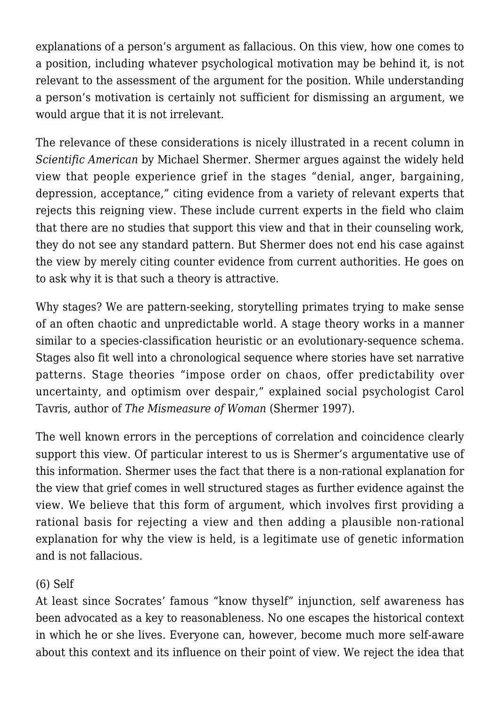explanations of a person's argument as fallacious. On this view, how one comes to a position, including whatever psychological motivation may be behind it, is not relevant to the assessment of the argument for the position. While understanding a person's motivation is certainly not sufficient for dismissing an argument, we would argue that it is not irrelevant.

The relevance of these considerations is nicely illustrated in a recent column in *Scientific American* by Michael Shermer. Shermer argues against the widely held view that people experience grief in the stages "denial, anger, bargaining, depression, acceptance," citing evidence from a variety of relevant experts that rejects this reigning view. These include current experts in the field who claim that there are no studies that support this view and that in their counseling work, they do not see any standard pattern. But Shermer does not end his case against the view by merely citing counter evidence from current authorities. He goes on to ask why it is that such a theory is attractive.

Why stages? We are pattern-seeking, storytelling primates trying to make sense of an often chaotic and unpredictable world. A stage theory works in a manner similar to a species-classification heuristic or an evolutionary-sequence schema. Stages also fit well into a chronological sequence where stories have set narrative patterns. Stage theories "impose order on chaos, offer predictability over uncertainty, and optimism over despair," explained social psychologist Carol Tavris, author of *The Mismeasure of Woman* (Shermer 1997).

The well known errors in the perceptions of correlation and coincidence clearly support this view. Of particular interest to us is Shermer's argumentative use of this information. Shermer uses the fact that there is a non-rational explanation for the view that grief comes in well structured stages as further evidence against the view. We believe that this form of argument, which involves first providing a rational basis for rejecting a view and then adding a plausible non-rational explanation for why the view is held, is a legitimate use of genetic information and is not fallacious.

## (6) Self

At least since Socrates' famous "know thyself" injunction, self awareness has been advocated as a key to reasonableness. No one escapes the historical context in which he or she lives. Everyone can, however, become much more self-aware about this context and its influence on their point of view. We reject the idea that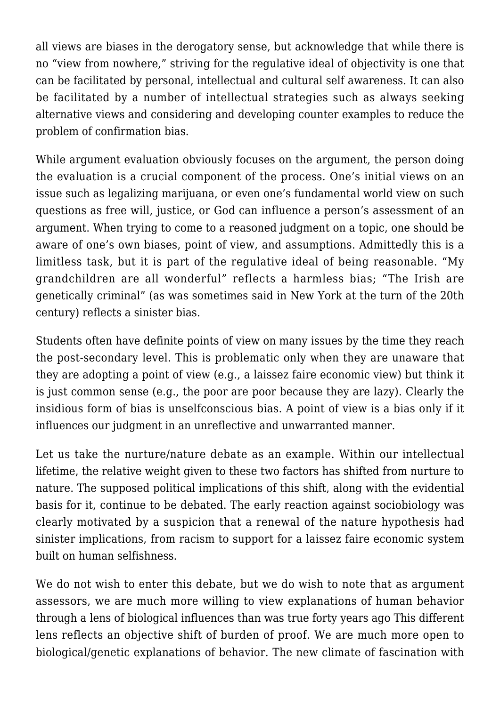all views are biases in the derogatory sense, but acknowledge that while there is no "view from nowhere," striving for the regulative ideal of objectivity is one that can be facilitated by personal, intellectual and cultural self awareness. It can also be facilitated by a number of intellectual strategies such as always seeking alternative views and considering and developing counter examples to reduce the problem of confirmation bias.

While argument evaluation obviously focuses on the argument, the person doing the evaluation is a crucial component of the process. One's initial views on an issue such as legalizing marijuana, or even one's fundamental world view on such questions as free will, justice, or God can influence a person's assessment of an argument. When trying to come to a reasoned judgment on a topic, one should be aware of one's own biases, point of view, and assumptions. Admittedly this is a limitless task, but it is part of the regulative ideal of being reasonable. "My grandchildren are all wonderful" reflects a harmless bias; "The Irish are genetically criminal" (as was sometimes said in New York at the turn of the 20th century) reflects a sinister bias.

Students often have definite points of view on many issues by the time they reach the post-secondary level. This is problematic only when they are unaware that they are adopting a point of view (e.g., a laissez faire economic view) but think it is just common sense (e.g., the poor are poor because they are lazy). Clearly the insidious form of bias is unselfconscious bias. A point of view is a bias only if it influences our judgment in an unreflective and unwarranted manner.

Let us take the nurture/nature debate as an example. Within our intellectual lifetime, the relative weight given to these two factors has shifted from nurture to nature. The supposed political implications of this shift, along with the evidential basis for it, continue to be debated. The early reaction against sociobiology was clearly motivated by a suspicion that a renewal of the nature hypothesis had sinister implications, from racism to support for a laissez faire economic system built on human selfishness.

We do not wish to enter this debate, but we do wish to note that as argument assessors, we are much more willing to view explanations of human behavior through a lens of biological influences than was true forty years ago This different lens reflects an objective shift of burden of proof. We are much more open to biological/genetic explanations of behavior. The new climate of fascination with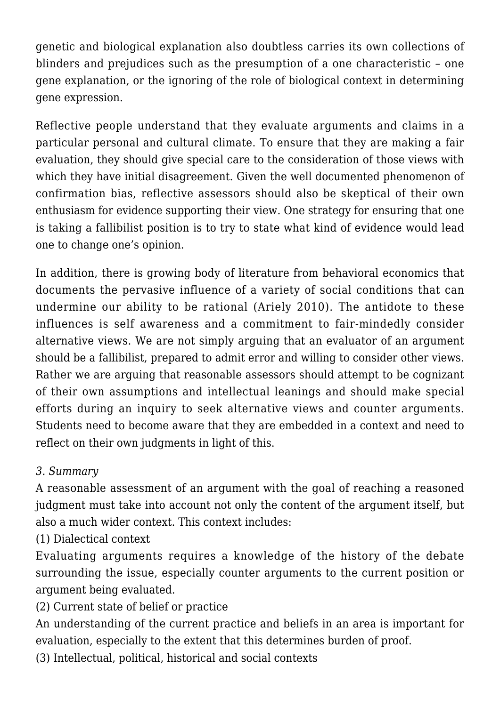genetic and biological explanation also doubtless carries its own collections of blinders and prejudices such as the presumption of a one characteristic – one gene explanation, or the ignoring of the role of biological context in determining gene expression.

Reflective people understand that they evaluate arguments and claims in a particular personal and cultural climate. To ensure that they are making a fair evaluation, they should give special care to the consideration of those views with which they have initial disagreement. Given the well documented phenomenon of confirmation bias, reflective assessors should also be skeptical of their own enthusiasm for evidence supporting their view. One strategy for ensuring that one is taking a fallibilist position is to try to state what kind of evidence would lead one to change one's opinion.

In addition, there is growing body of literature from behavioral economics that documents the pervasive influence of a variety of social conditions that can undermine our ability to be rational (Ariely 2010). The antidote to these influences is self awareness and a commitment to fair-mindedly consider alternative views. We are not simply arguing that an evaluator of an argument should be a fallibilist, prepared to admit error and willing to consider other views. Rather we are arguing that reasonable assessors should attempt to be cognizant of their own assumptions and intellectual leanings and should make special efforts during an inquiry to seek alternative views and counter arguments. Students need to become aware that they are embedded in a context and need to reflect on their own judgments in light of this.

# *3. Summary*

A reasonable assessment of an argument with the goal of reaching a reasoned judgment must take into account not only the content of the argument itself, but also a much wider context. This context includes:

(1) Dialectical context

Evaluating arguments requires a knowledge of the history of the debate surrounding the issue, especially counter arguments to the current position or argument being evaluated.

(2) Current state of belief or practice

An understanding of the current practice and beliefs in an area is important for evaluation, especially to the extent that this determines burden of proof.

(3) Intellectual, political, historical and social contexts